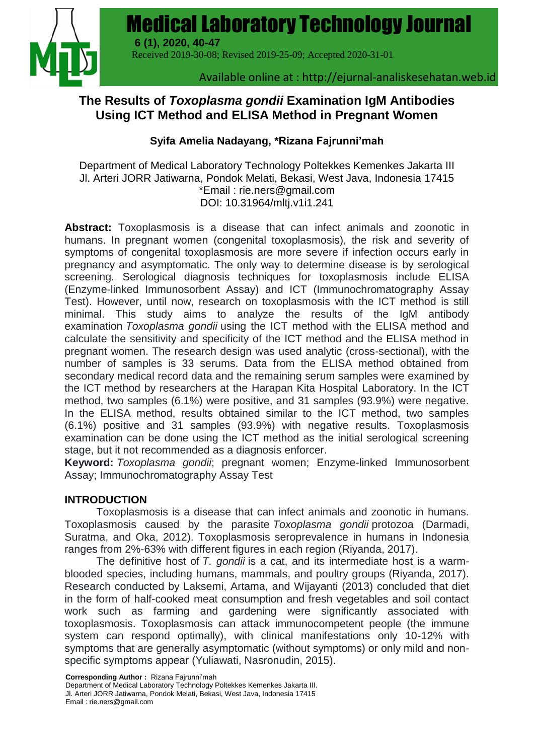

# **The Results of** *Toxoplasma gondii* **Examination IgM Antibodies Using ICT Method and ELISA Method in Pregnant Women**

## **Syifa Amelia Nadayang, \*Rizana Fajrunni'mah**

Department of Medical Laboratory Technology Poltekkes Kemenkes Jakarta III Jl. Arteri JORR Jatiwarna, Pondok Melati, Bekasi, West Java, Indonesia 17415 \*Email : [rie.ners@gmail.com](mailto:rie.ners@gmail.com) DOI: 10.31964/mltj.v1i1.241

**Abstract:** Toxoplasmosis is a disease that can infect animals and zoonotic in humans. In pregnant women (congenital toxoplasmosis), the risk and severity of symptoms of congenital toxoplasmosis are more severe if infection occurs early in pregnancy and asymptomatic. The only way to determine disease is by serological screening. Serological diagnosis techniques for toxoplasmosis include ELISA (Enzyme-linked Immunosorbent Assay) and ICT (Immunochromatography Assay Test). However, until now, research on toxoplasmosis with the ICT method is still minimal. This study aims to analyze the results of the IgM antibody examination *Toxoplasma gondii* using the ICT method with the ELISA method and calculate the sensitivity and specificity of the ICT method and the ELISA method in pregnant women. The research design was used analytic (cross-sectional), with the number of samples is 33 serums. Data from the ELISA method obtained from secondary medical record data and the remaining serum samples were examined by the ICT method by researchers at the Harapan Kita Hospital Laboratory. In the ICT method, two samples (6.1%) were positive, and 31 samples (93.9%) were negative. In the ELISA method, results obtained similar to the ICT method, two samples (6.1%) positive and 31 samples (93.9%) with negative results. Toxoplasmosis examination can be done using the ICT method as the initial serological screening stage, but it not recommended as a diagnosis enforcer.

**Keyword:** *Toxoplasma gondii*; pregnant women; Enzyme-linked Immunosorbent Assay; Immunochromatography Assay Test

#### **INTRODUCTION**

Toxoplasmosis is a disease that can infect animals and zoonotic in humans. Toxoplasmosis caused by the parasite *Toxoplasma gondii* protozoa (Darmadi, Suratma, and Oka, 2012). Toxoplasmosis seroprevalence in humans in Indonesia ranges from 2%-63% with different figures in each region (Riyanda, 2017).

The definitive host of *T. gondii* is a cat, and its intermediate host is a warmblooded species, including humans, mammals, and poultry groups (Riyanda, 2017). Research conducted by Laksemi, Artama, and Wijayanti (2013) concluded that diet in the form of half-cooked meat consumption and fresh vegetables and soil contact work such as farming and gardening were significantly associated with toxoplasmosis. Toxoplasmosis can attack immunocompetent people (the immune system can respond optimally), with clinical manifestations only 10-12% with symptoms that are generally asymptomatic (without symptoms) or only mild and nonspecific symptoms appear (Yuliawati, Nasronudin, 2015).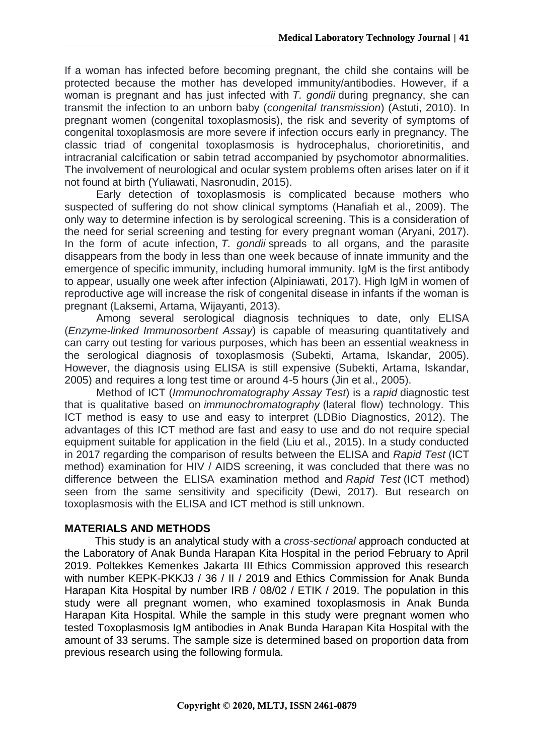If a woman has infected before becoming pregnant, the child she contains will be protected because the mother has developed immunity/antibodies. However, if a woman is pregnant and has just infected with *T. gondii* during pregnancy, she can transmit the infection to an unborn baby (*congenital transmission*) (Astuti, 2010). In pregnant women (congenital toxoplasmosis), the risk and severity of symptoms of congenital toxoplasmosis are more severe if infection occurs early in pregnancy. The classic triad of congenital toxoplasmosis is hydrocephalus, chorioretinitis, and intracranial calcification or sabin tetrad accompanied by psychomotor abnormalities. The involvement of neurological and ocular system problems often arises later on if it not found at birth (Yuliawati, Nasronudin, 2015).

Early detection of toxoplasmosis is complicated because mothers who suspected of suffering do not show clinical symptoms (Hanafiah et al., 2009). The only way to determine infection is by serological screening. This is a consideration of the need for serial screening and testing for every pregnant woman (Aryani, 2017). In the form of acute infection, *T. gondii* spreads to all organs, and the parasite disappears from the body in less than one week because of innate immunity and the emergence of specific immunity, including humoral immunity. IgM is the first antibody to appear, usually one week after infection (Alpiniawati, 2017). High IgM in women of reproductive age will increase the risk of congenital disease in infants if the woman is pregnant (Laksemi, Artama, Wijayanti, 2013).

Among several serological diagnosis techniques to date, only ELISA (*Enzyme-linked Immunosorbent Assay*) is capable of measuring quantitatively and can carry out testing for various purposes, which has been an essential weakness in the serological diagnosis of toxoplasmosis (Subekti, Artama, Iskandar, 2005). However, the diagnosis using ELISA is still expensive (Subekti, Artama, Iskandar, 2005) and requires a long test time or around 4-5 hours (Jin et al., 2005).

Method of ICT (*Immunochromatography Assay Test*) is a *rapid* diagnostic test that is qualitative based on *immunochromatography* (lateral flow) technology. This ICT method is easy to use and easy to interpret (LDBio Diagnostics, 2012). The advantages of this ICT method are fast and easy to use and do not require special equipment suitable for application in the field (Liu et al., 2015). In a study conducted in 2017 regarding the comparison of results between the ELISA and *Rapid Test* (ICT method) examination for HIV / AIDS screening, it was concluded that there was no difference between the ELISA examination method and *Rapid Test* (ICT method) seen from the same sensitivity and specificity (Dewi, 2017). But research on toxoplasmosis with the ELISA and ICT method is still unknown.

#### **MATERIALS AND METHODS**

This study is an analytical study with a *cross-sectional* approach conducted at the Laboratory of Anak Bunda Harapan Kita Hospital in the period February to April 2019. Poltekkes Kemenkes Jakarta III Ethics Commission approved this research with number KEPK-PKKJ3 / 36 / II / 2019 and Ethics Commission for Anak Bunda Harapan Kita Hospital by number IRB / 08/02 / ETIK / 2019. The population in this study were all pregnant women, who examined toxoplasmosis in Anak Bunda Harapan Kita Hospital. While the sample in this study were pregnant women who tested Toxoplasmosis IgM antibodies in Anak Bunda Harapan Kita Hospital with the amount of 33 serums. The sample size is determined based on proportion data from previous research using the following formula.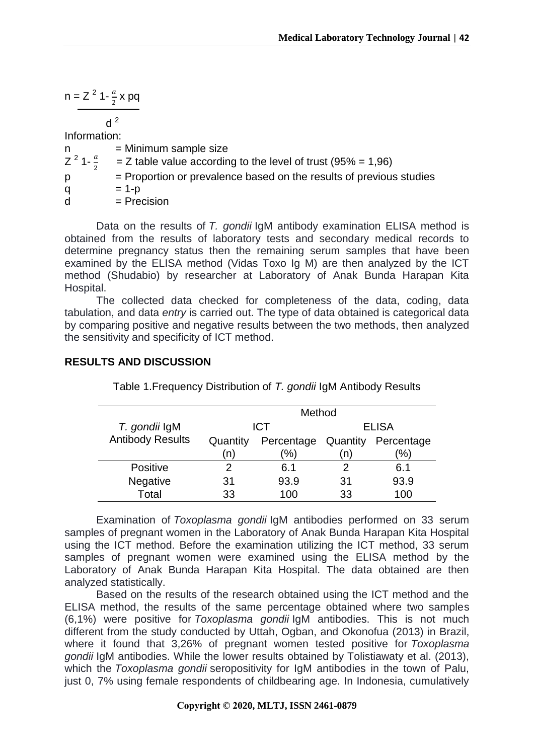$$
n = Z^2 1 - \frac{a}{2} x \, pq
$$

 $d^2$ 

Information:

 $n =$ Minimum sample size  $Z^2$  1- $\frac{a}{2}$  $\overline{\mathbf{c}}$  $=$  Z table value according to the level of trust (95% = 1,96)  $p =$  Proportion or prevalence based on the results of previous studies q  $= 1-p$  $d = Precision$ 

Data on the results of *T. gondii* IgM antibody examination ELISA method is obtained from the results of laboratory tests and secondary medical records to determine pregnancy status then the remaining serum samples that have been examined by the ELISA method (Vidas Toxo Ig M) are then analyzed by the ICT method (Shudabio) by researcher at Laboratory of Anak Bunda Harapan Kita Hospital.

The collected data checked for completeness of the data, coding, data tabulation, and data *entry* is carried out. The type of data obtained is categorical data by comparing positive and negative results between the two methods, then analyzed the sensitivity and specificity of ICT method.

#### *T. gondii* IgM Antibody Results Method ICT ELISA Quantity Percentage Quantity Percentage (n)  $(% )$ (n) (%) Positive 2 6.1 2 6.1 Negative 31 93.9 31 93.9 Total 33 100 33 100

**RESULTS AND DISCUSSION**

Table 1.Frequency Distribution of *T. gondii* IgM Antibody Results

Examination of *Toxoplasma gondii* IgM antibodies performed on 33 serum samples of pregnant women in the Laboratory of Anak Bunda Harapan Kita Hospital using the ICT method. Before the examination utilizing the ICT method, 33 serum samples of pregnant women were examined using the ELISA method by the Laboratory of Anak Bunda Harapan Kita Hospital. The data obtained are then analyzed statistically.

Based on the results of the research obtained using the ICT method and the ELISA method, the results of the same percentage obtained where two samples (6,1%) were positive for *Toxoplasma gondii* IgM antibodies. This is not much different from the study conducted by Uttah, Ogban, and Okonofua (2013) in Brazil, where it found that 3,26% of pregnant women tested positive for *Toxoplasma gondii* IgM antibodies. While the lower results obtained by Tolistiawaty et al. (2013), which the *Toxoplasma gondii* seropositivity for IgM antibodies in the town of Palu, just 0, 7% using female respondents of childbearing age. In Indonesia, cumulatively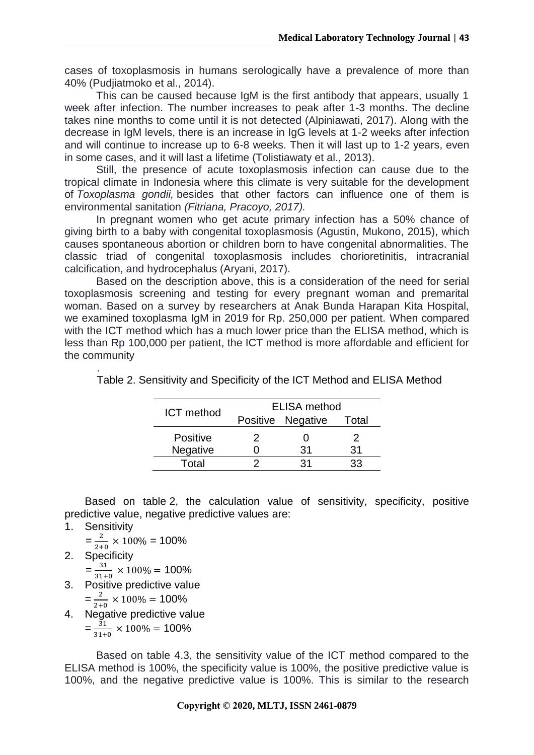cases of toxoplasmosis in humans serologically have a prevalence of more than 40% (Pudjiatmoko et al., 2014).

This can be caused because IgM is the first antibody that appears, usually 1 week after infection. The number increases to peak after 1-3 months. The decline takes nine months to come until it is not detected (Alpiniawati, 2017). Along with the decrease in IgM levels, there is an increase in IgG levels at 1-2 weeks after infection and will continue to increase up to 6-8 weeks. Then it will last up to 1-2 years, even in some cases, and it will last a lifetime (Tolistiawaty et al., 2013).

Still, the presence of acute toxoplasmosis infection can cause due to the tropical climate in Indonesia where this climate is very suitable for the development of *Toxoplasma gondii,* besides that other factors can influence one of them is environmental sanitation *(Fitriana, Pracoyo, 2017).*

In pregnant women who get acute primary infection has a 50% chance of giving birth to a baby with congenital toxoplasmosis (Agustin, Mukono, 2015), which causes spontaneous abortion or children born to have congenital abnormalities. The classic triad of congenital toxoplasmosis includes chorioretinitis, intracranial calcification, and hydrocephalus (Aryani, 2017).

Based on the description above, this is a consideration of the need for serial toxoplasmosis screening and testing for every pregnant woman and premarital woman. Based on a survey by researchers at Anak Bunda Harapan Kita Hospital, we examined toxoplasma IgM in 2019 for Rp. 250,000 per patient. When compared with the ICT method which has a much lower price than the ELISA method, which is less than Rp 100,000 per patient, the ICT method is more affordable and efficient for the community

| <b>ICT</b> method | <b>ELISA</b> method |                   |       |
|-------------------|---------------------|-------------------|-------|
|                   |                     | Positive Negative | Total |
| <b>Positive</b>   | 2                   |                   | 2     |
| Negative          |                     | 31                | 31    |
| Total             |                     | 31                | 'ર?   |

. Table 2. Sensitivity and Specificity of the ICT Method and ELISA Method

Based on table 2, the calculation value of sensitivity, specificity, positive predictive value, negative predictive values are:

### 1. Sensitivity

 $=\frac{2}{31}$  $\frac{2}{2+0} \times 100\% = 100\%$ 

2. Specificity  $=\frac{3}{24}$ 

 $\frac{31}{31+0}$  × 100% = 100%

- 3. Positive predictive value
	- $=\frac{2}{2}$  $\frac{2}{2+0} \times 100\% = 100\%$
- 4. Negative predictive value
	- $=\frac{3}{24}$  $\frac{31}{31+0}$  × 100% = 100%

Based on table 4.3, the sensitivity value of the ICT method compared to the ELISA method is 100%, the specificity value is 100%, the positive predictive value is 100%, and the negative predictive value is 100%. This is similar to the research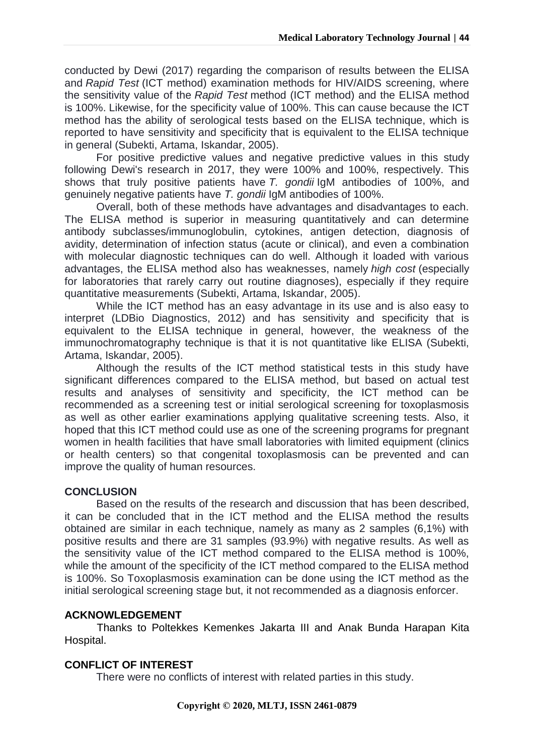conducted by Dewi (2017) regarding the comparison of results between the ELISA and *Rapid Test* (ICT method) examination methods for HIV/AIDS screening, where the sensitivity value of the *Rapid Test* method (ICT method) and the ELISA method is 100%. Likewise, for the specificity value of 100%. This can cause because the ICT method has the ability of serological tests based on the ELISA technique, which is reported to have sensitivity and specificity that is equivalent to the ELISA technique in general (Subekti, Artama, Iskandar, 2005).

For positive predictive values and negative predictive values in this study following Dewi's research in 2017, they were 100% and 100%, respectively. This shows that truly positive patients have *T. gondii* IgM antibodies of 100%, and genuinely negative patients have *T. gondii* IgM antibodies of 100%.

Overall, both of these methods have advantages and disadvantages to each. The ELISA method is superior in measuring quantitatively and can determine antibody subclasses/immunoglobulin, cytokines, antigen detection, diagnosis of avidity, determination of infection status (acute or clinical), and even a combination with molecular diagnostic techniques can do well. Although it loaded with various advantages, the ELISA method also has weaknesses, namely *high cost* (especially for laboratories that rarely carry out routine diagnoses), especially if they require quantitative measurements (Subekti, Artama, Iskandar, 2005).

While the ICT method has an easy advantage in its use and is also easy to interpret (LDBio Diagnostics, 2012) and has sensitivity and specificity that is equivalent to the ELISA technique in general, however, the weakness of the immunochromatography technique is that it is not quantitative like ELISA (Subekti, Artama, Iskandar, 2005).

Although the results of the ICT method statistical tests in this study have significant differences compared to the ELISA method, but based on actual test results and analyses of sensitivity and specificity, the ICT method can be recommended as a screening test or initial serological screening for toxoplasmosis as well as other earlier examinations applying qualitative screening tests. Also, it hoped that this ICT method could use as one of the screening programs for pregnant women in health facilities that have small laboratories with limited equipment (clinics or health centers) so that congenital toxoplasmosis can be prevented and can improve the quality of human resources.

#### **CONCLUSION**

Based on the results of the research and discussion that has been described, it can be concluded that in the ICT method and the ELISA method the results obtained are similar in each technique, namely as many as 2 samples (6,1%) with positive results and there are 31 samples (93.9%) with negative results. As well as the sensitivity value of the ICT method compared to the ELISA method is 100%, while the amount of the specificity of the ICT method compared to the ELISA method is 100%. So Toxoplasmosis examination can be done using the ICT method as the initial serological screening stage but, it not recommended as a diagnosis enforcer.

#### **ACKNOWLEDGEMENT**

Thanks to Poltekkes Kemenkes Jakarta III and Anak Bunda Harapan Kita Hospital.

#### **CONFLICT OF INTEREST**

There were no conflicts of interest with related parties in this study.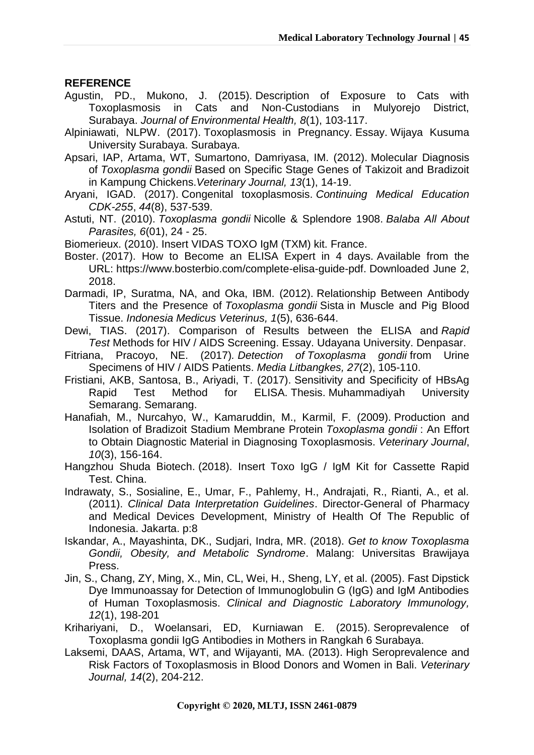### **REFERENCE**

Agustin, PD., Mukono, J. (2015). Description of Exposure to Cats with Toxoplasmosis in Cats and Non-Custodians in Mulyorejo District, Surabaya. *Journal of Environmental Health, 8*(1), 103-117.

Alpiniawati, NLPW. (2017). Toxoplasmosis in Pregnancy. Essay. Wijaya Kusuma University Surabaya. Surabaya.

- Apsari, IAP, Artama, WT, Sumartono, Damriyasa, IM. (2012). Molecular Diagnosis of *Toxoplasma gondii* Based on Specific Stage Genes of Takizoit and Bradizoit in Kampung Chickens.*Veterinary Journal, 13*(1), 14-19.
- Aryani, IGAD. (2017). Congenital toxoplasmosis. *Continuing Medical Education CDK-255*, *44*(8), 537-539.
- Astuti, NT. (2010). *Toxoplasma gondii* Nicolle & Splendore 1908. *Balaba All About Parasites, 6*(01), 24 - 25.
- Biomerieux. (2010). Insert VIDAS TOXO IgM (TXM) kit. France.
- Boster. (2017). How to Become an ELISA Expert in 4 days. Available from the URL: [https://www.bosterbio.com/complete-elisa-guide-pdf.](https://translate.google.com/translate?hl=id&prev=_t&sl=id&tl=en&u=https://www.bosterbio.com/complete-elisa-guide-pdf) Downloaded June 2, 2018.
- Darmadi, IP, Suratma, NA, and Oka, IBM. (2012). Relationship Between Antibody Titers and the Presence of *Toxoplasma gondii* Sista in Muscle and Pig Blood Tissue. *Indonesia Medicus Veterinus, 1*(5), 636-644.
- Dewi, TIAS. (2017). Comparison of Results between the ELISA and *Rapid Test* Methods for HIV / AIDS Screening. Essay. Udayana University. Denpasar.
- Fitriana, Pracoyo, NE. (2017)*. Detection of Toxoplasma gondii* from Urine Specimens of HIV / AIDS Patients. *Media Litbangkes, 27*(2), 105-110.
- Fristiani, AKB, Santosa, B., Ariyadi, T. (2017). Sensitivity and Specificity of HBsAg Rapid Test Method for ELISA. Thesis. Muhammadiyah University Semarang. Semarang.
- Hanafiah, M., Nurcahyo, W., Kamaruddin, M., Karmil, F. (2009). Production and Isolation of Bradizoit Stadium Membrane Protein *Toxoplasma gondii* : An Effort to Obtain Diagnostic Material in Diagnosing Toxoplasmosis. *Veterinary Journal*, *10*(3), 156-164.
- Hangzhou Shuda Biotech. (2018). Insert Toxo IgG / IgM Kit for Cassette Rapid Test. China.
- Indrawaty, S., Sosialine, E., Umar, F., Pahlemy, H., Andrajati, R., Rianti, A., et al. (2011). *Clinical Data Interpretation Guidelines*. Director-General of Pharmacy and Medical Devices Development, Ministry of Health Of The Republic of Indonesia. Jakarta. p:8
- Iskandar, A., Mayashinta, DK., Sudjari, Indra, MR. (2018). *Get to know Toxoplasma Gondii, Obesity, and Metabolic Syndrome*. Malang: Universitas Brawijaya Press.
- Jin, S., Chang, ZY, Ming, X., Min, CL, Wei, H., Sheng, LY, et al. (2005). Fast Dipstick Dye Immunoassay for Detection of Immunoglobulin G (IgG) and IgM Antibodies of Human Toxoplasmosis. *Clinical and Diagnostic Laboratory Immunology, 12*(1), 198-201
- Krihariyani, D., Woelansari, ED, Kurniawan E. (2015). Seroprevalence of Toxoplasma gondii IgG Antibodies in Mothers in Rangkah 6 Surabaya.
- Laksemi, DAAS, Artama, WT, and Wijayanti, MA. (2013). High Seroprevalence and Risk Factors of Toxoplasmosis in Blood Donors and Women in Bali. *Veterinary Journal, 14*(2), 204-212.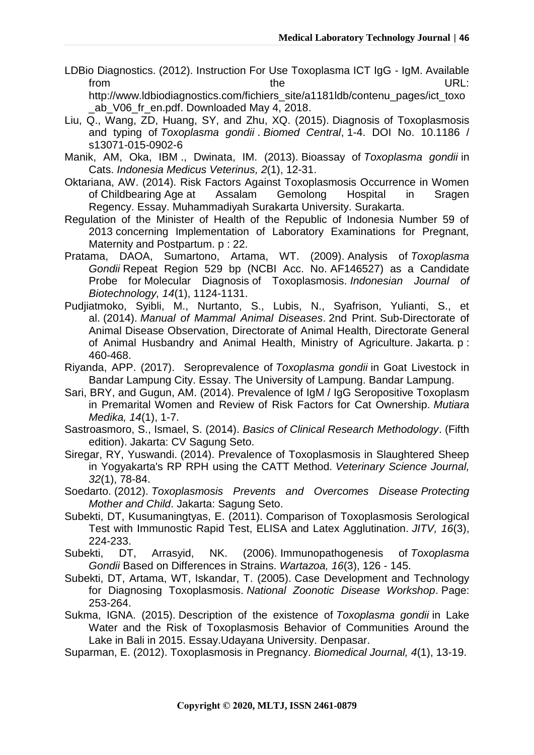LDBio Diagnostics. (2012). Instruction For Use Toxoplasma ICT IgG - IgM. Available from the the unit of the URL:

[http://www.ldbiodiagnostics.com/fichiers\\_site/a1181ldb/contenu\\_pages/ict\\_toxo](https://translate.googleusercontent.com/%20http:/www.ldbiodiagnostics.com/fichiers_site/a1181ldb/contenu_pages/ict_toxo_ab_V06_fr_en.pdf.%20Diunduh%2004%20Mei%202018) ab V06 fr en.pdf. [Downloaded May 4, 2018.](https://translate.googleusercontent.com/%20http:/www.ldbiodiagnostics.com/fichiers_site/a1181ldb/contenu_pages/ict_toxo_ab_V06_fr_en.pdf.%20Diunduh%2004%20Mei%202018)

- Liu, Q., Wang, ZD, Huang, SY, and Zhu, XQ. (2015). Diagnosis of Toxoplasmosis and typing of *Toxoplasma gondii* . *Biomed Central*, 1-4. DOI No. 10.1186 / s13071-015-0902-6
- Manik, AM, Oka, IBM ., Dwinata, IM. (2013). Bioassay of *Toxoplasma gondii* in Cats. *Indonesia Medicus Veterinus, 2*(1), 12-31.
- Oktariana, AW. (2014). Risk Factors Against Toxoplasmosis Occurrence in Women of Childbearing Age at Assalam Gemolong Hospital in Sragen Regency. Essay. Muhammadiyah Surakarta University. Surakarta.
- Regulation of the Minister of Health of the Republic of Indonesia Number 59 of 2013 concerning Implementation of Laboratory Examinations for Pregnant, Maternity and Postpartum. p : 22.
- Pratama, DAOA, Sumartono, Artama, WT. (2009). Analysis of *Toxoplasma Gondii* Repeat Region 529 bp (NCBI Acc. No. AF146527) as a Candidate Probe for Molecular Diagnosis of Toxoplasmosis. *Indonesian Journal of Biotechnology, 14*(1), 1124-1131.
- Pudjiatmoko, Syibli, M., Nurtanto, S., Lubis, N., Syafrison, Yulianti, S., et al. (2014). *Manual of Mammal Animal Diseases*. 2nd Print. Sub-Directorate of Animal Disease Observation, Directorate of Animal Health, Directorate General of Animal Husbandry and Animal Health, Ministry of Agriculture. Jakarta. p : 460-468.
- Riyanda, APP. (2017). Seroprevalence of *Toxoplasma gondii* in Goat Livestock in Bandar Lampung City. Essay. The University of Lampung. Bandar Lampung.
- Sari, BRY, and Gugun, AM. (2014). Prevalence of IgM / IgG Seropositive Toxoplasm in Premarital Women and Review of Risk Factors for Cat Ownership. *Mutiara Medika, 14*(1), 1-7.
- Sastroasmoro, S., Ismael, S. (2014). *Basics of Clinical Research Methodology*. (Fifth edition). Jakarta: CV Sagung Seto.
- Siregar, RY, Yuswandi. (2014). Prevalence of Toxoplasmosis in Slaughtered Sheep in Yogyakarta's RP RPH using the CATT Method. *Veterinary Science Journal, 32*(1), 78-84.
- Soedarto. (2012). *Toxoplasmosis Prevents and Overcomes Disease Protecting Mother and Child*. Jakarta: Sagung Seto.
- Subekti, DT, Kusumaningtyas, E. (2011). Comparison of Toxoplasmosis Serological Test with Immunostic Rapid Test, ELISA and Latex Agglutination. *JITV, 16*(3), 224-233.
- Subekti, DT, Arrasyid, NK. (2006). Immunopathogenesis of *Toxoplasma Gondii* Based on Differences in Strains. *Wartazoa, 16*(3), 126 - 145.
- Subekti, DT, Artama, WT, Iskandar, T. (2005). Case Development and Technology for Diagnosing Toxoplasmosis. *National Zoonotic Disease Workshop*. Page: 253-264.
- Sukma, IGNA. (2015). Description of the existence of *Toxoplasma gondii* in Lake Water and the Risk of Toxoplasmosis Behavior of Communities Around the Lake in Bali in 2015. Essay.Udayana University. Denpasar.
- Suparman, E. (2012). Toxoplasmosis in Pregnancy. *Biomedical Journal, 4*(1), 13-19.